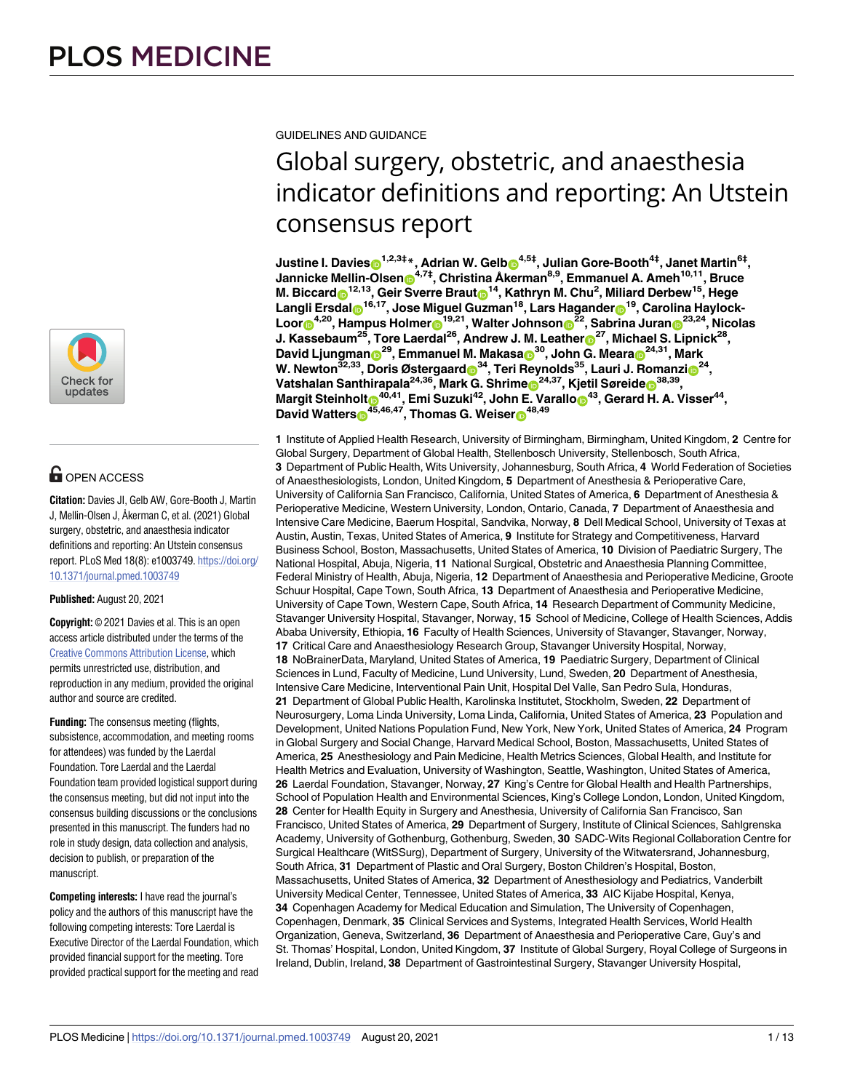

## **G** OPEN ACCESS

**Citation:** Davies JI, Gelb AW, Gore-Booth J, Martin J, Mellin-Olsen J, Åkerman C, et al. (2021) Global surgery, obstetric, and anaesthesia indicator definitions and reporting: An Utstein consensus report. PLoS Med 18(8): e1003749. [https://doi.org/](https://doi.org/10.1371/journal.pmed.1003749) [10.1371/journal.pmed.1003749](https://doi.org/10.1371/journal.pmed.1003749)

### **Published:** August 20, 2021

**Copyright:** © 2021 Davies et al. This is an open access article distributed under the terms of the Creative Commons [Attribution](http://creativecommons.org/licenses/by/4.0/) License, which permits unrestricted use, distribution, and reproduction in any medium, provided the original author and source are credited.

**Funding:** The consensus meeting (flights, subsistence, accommodation, and meeting rooms for attendees) was funded by the Laerdal Foundation. Tore Laerdal and the Laerdal Foundation team provided logistical support during the consensus meeting, but did not input into the consensus building discussions or the conclusions presented in this manuscript. The funders had no role in study design, data collection and analysis, decision to publish, or preparation of the manuscript.

**Competing interests:** I have read the journal's policy and the authors of this manuscript have the following competing interests: Tore Laerdal is Executive Director of the Laerdal Foundation, which provided financial support for the meeting. Tore provided practical support for the meeting and read

GUIDELINES AND GUIDANCE

# Global surgery, obstetric, and anaesthesia indicator definitions and reporting: An Utstein consensus report

 $\Delta$  Justine I. Davies $\textbf{D}^{1,2,3\textbf{+}}$  \*, Adrian W. Gelb $\textbf{D}^{4,5\textbf{+}},$  Julian Gore-Booth $^{4\textbf{+}},$  Janet Martin $^{6\textbf{+}},$ **Jannicke Mellin-Olse[nID](https://orcid.org/0000-0002-3466-2286)4,7‡, Christina Åkerman8,9, Emmanuel A. Ameh10,11, Bruce**  $M$ . Biccard $\odot$ <sup>12,13</sup>, Geir Sverre Braut $\odot$ <sup>14</sup>, Kathryn M. Chu<sup>2</sup>, Miliard Derbew<sup>15</sup>, Hege  $\frac{1}{2}$  **Langli** <code>Ersdal</sup>  $\frac{1}{2}$ <sup>16,17</sup>, Jose Miguel Guzman<sup>18</sup>, Lars Hagander  $\frac{1}{2}$ , Carolina Haylock-</code>  $\Delta$  Loor $\mathbf{D}^{4,20}$ , Hampus Holmer $\mathbf{D}^{19,21}$ , Walter Johnson $\mathbf{D}^{22}$ , Sabrina Juran $\mathbf{D}^{23,24}$ , Nicolas **J. Kassebaum25, Tore Laerdal26, Andrew J. M. Leathe[rID](https://orcid.org/0000-0003-0500-5962)27, Michael S. Lipnick28,**  $D$ avid Ljungman $\mathbf{\Theta}^{29}$ , Emmanuel M. Makasa $\mathbf{\Theta}^{30}$ , John G. Meara $\mathbf{\Theta}^{24,31}$ , Mark  $W$ . Newton $^{32,33}$ , Doris Østergaard $\odot^{34}$ , Teri Reynolds $^{35}$ , Lauri J. Romanzi $\odot^{24}$ ,  $V$ atshalan Santhirapala<sup>24,36</sup>, Mark G. Shrime $\mathbf{D}^{24,37}$ , Kjetil Søreide $\mathbf{D}^{38,39}$ ,  $M$ argit Steinholt $\boldsymbol{\Theta}^{40,41}$ , Emi Suzuki $^{42}$ , John E. Varallo $\boldsymbol{\Theta}^{43}$ , Gerard H. A. Visser $^{44}$ ,  $D$ avid Watters $\mathbf{D}^{45,46,47}$ , Thomas G. Weiser $\mathbf{D}^{48,49}$ 

**1** Institute of Applied Health Research, University of Birmingham, Birmingham, United Kingdom, **2** Centre for Global Surgery, Department of Global Health, Stellenbosch University, Stellenbosch, South Africa, **3** Department of Public Health, Wits University, Johannesburg, South Africa, **4** World Federation of Societies of Anaesthesiologists, London, United Kingdom, **5** Department of Anesthesia & Perioperative Care, University of California San Francisco, California, United States of America, **6** Department of Anesthesia & Perioperative Medicine, Western University, London, Ontario, Canada, **7** Department of Anaesthesia and Intensive Care Medicine, Baerum Hospital, Sandvika, Norway, **8** Dell Medical School, University of Texas at Austin, Austin, Texas, United States of America, **9** Institute for Strategy and Competitiveness, Harvard Business School, Boston, Massachusetts, United States of America, **10** Division of Paediatric Surgery, The National Hospital, Abuja, Nigeria, **11** National Surgical, Obstetric and Anaesthesia Planning Committee, Federal Ministry of Health, Abuja, Nigeria, **12** Department of Anaesthesia and Perioperative Medicine, Groote Schuur Hospital, Cape Town, South Africa, **13** Department of Anaesthesia and Perioperative Medicine, University of Cape Town, Western Cape, South Africa, **14** Research Department of Community Medicine, Stavanger University Hospital, Stavanger, Norway, **15** School of Medicine, College of Health Sciences, Addis Ababa University, Ethiopia, **16** Faculty of Health Sciences, University of Stavanger, Stavanger, Norway, **17** Critical Care and Anaesthesiology Research Group, Stavanger University Hospital, Norway, **18** NoBrainerData, Maryland, United States of America, **19** Paediatric Surgery, Department of Clinical Sciences in Lund, Faculty of Medicine, Lund University, Lund, Sweden, **20** Department of Anesthesia, Intensive Care Medicine, Interventional Pain Unit, Hospital Del Valle, San Pedro Sula, Honduras, **21** Department of Global Public Health, Karolinska Institutet, Stockholm, Sweden, **22** Department of Neurosurgery, Loma Linda University, Loma Linda, California, United States of America, **23** Population and Development, United Nations Population Fund, New York, New York, United States of America, **24** Program in Global Surgery and Social Change, Harvard Medical School, Boston, Massachusetts, United States of America, **25** Anesthesiology and Pain Medicine, Health Metrics Sciences, Global Health, and Institute for Health Metrics and Evaluation, University of Washington, Seattle, Washington, United States of America, **26** Laerdal Foundation, Stavanger, Norway, **27** King's Centre for Global Health and Health Partnerships, School of Population Health and Environmental Sciences, King's College London, London, United Kingdom, **28** Center for Health Equity in Surgery and Anesthesia, University of California San Francisco, San Francisco, United States of America, **29** Department of Surgery, Institute of Clinical Sciences, Sahlgrenska Academy, University of Gothenburg, Gothenburg, Sweden, **30** SADC-Wits Regional Collaboration Centre for Surgical Healthcare (WitSSurg), Department of Surgery, University of the Witwatersrand, Johannesburg, South Africa, **31** Department of Plastic and Oral Surgery, Boston Children's Hospital, Boston, Massachusetts, United States of America, **32** Department of Anesthesiology and Pediatrics, Vanderbilt University Medical Center, Tennessee, United States of America, **33** AIC Kijabe Hospital, Kenya, **34** Copenhagen Academy for Medical Education and Simulation, The University of Copenhagen, Copenhagen, Denmark, **35** Clinical Services and Systems, Integrated Health Services, World Health Organization, Geneva, Switzerland, **36** Department of Anaesthesia and Perioperative Care, Guy's and St. Thomas' Hospital, London, United Kingdom, **37** Institute of Global Surgery, Royal College of Surgeons in Ireland, Dublin, Ireland, **38** Department of Gastrointestinal Surgery, Stavanger University Hospital,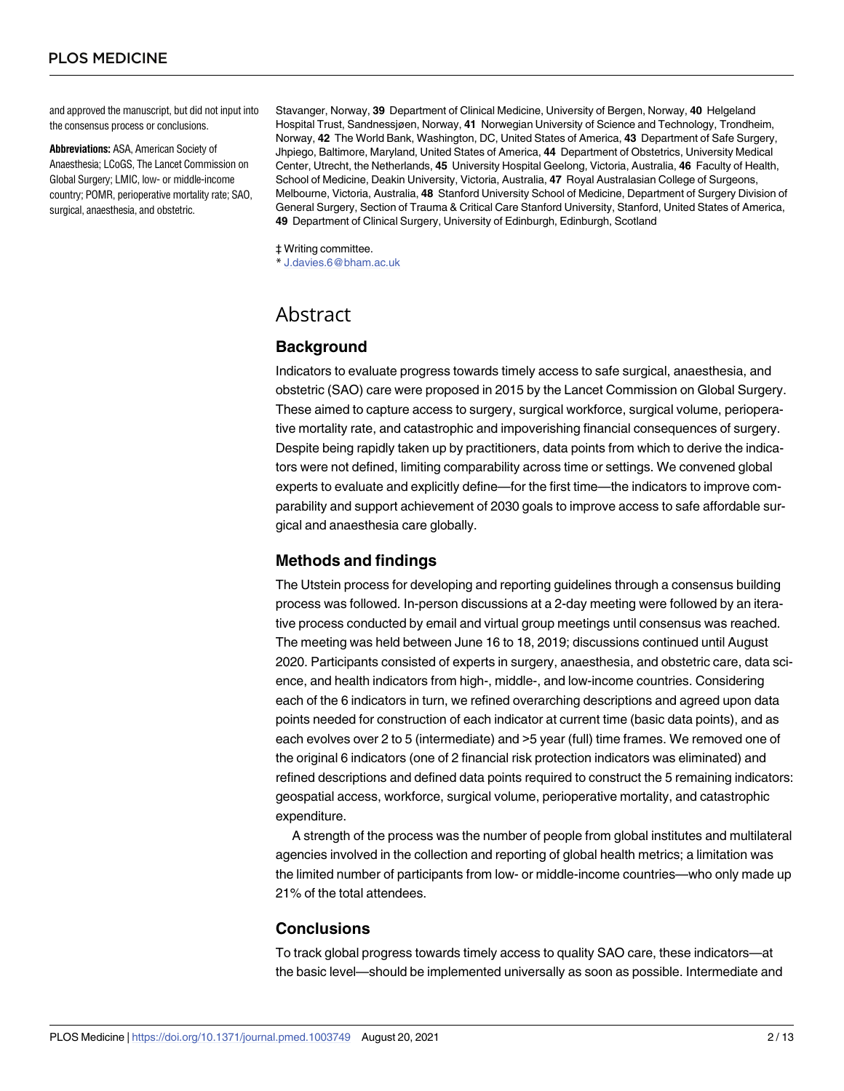and approved the manuscript, but did not input into the consensus process or conclusions.

**Abbreviations:** ASA, American Society of Anaesthesia; LCoGS, The Lancet Commission on Global Surgery; LMIC, low- or middle-income country; POMR, perioperative mortality rate; SAO, surgical, anaesthesia, and obstetric.

Stavanger, Norway, **39** Department of Clinical Medicine, University of Bergen, Norway, **40** Helgeland Hospital Trust, Sandnessjøen, Norway, **41** Norwegian University of Science and Technology, Trondheim, Norway, **42** The World Bank, Washington, DC, United States of America, **43** Department of Safe Surgery, Jhpiego, Baltimore, Maryland, United States of America, **44** Department of Obstetrics, University Medical Center, Utrecht, the Netherlands, **45** University Hospital Geelong, Victoria, Australia, **46** Faculty of Health, School of Medicine, Deakin University, Victoria, Australia, **47** Royal Australasian College of Surgeons, Melbourne, Victoria, Australia, **48** Stanford University School of Medicine, Department of Surgery Division of General Surgery, Section of Trauma & Critical Care Stanford University, Stanford, United States of America, **49** Department of Clinical Surgery, University of Edinburgh, Edinburgh, Scotland

‡ Writing committee.

\* J.davies.6@bham.ac.uk

## Abstract

### **Background**

Indicators to evaluate progress towards timely access to safe surgical, anaesthesia, and obstetric (SAO) care were proposed in 2015 by the Lancet Commission on Global Surgery. These aimed to capture access to surgery, surgical workforce, surgical volume, perioperative mortality rate, and catastrophic and impoverishing financial consequences of surgery. Despite being rapidly taken up by practitioners, data points from which to derive the indicators were not defined, limiting comparability across time or settings. We convened global experts to evaluate and explicitly define—for the first time—the indicators to improve comparability and support achievement of 2030 goals to improve access to safe affordable surgical and anaesthesia care globally.

### **Methods and findings**

The Utstein process for developing and reporting guidelines through a consensus building process was followed. In-person discussions at a 2-day meeting were followed by an iterative process conducted by email and virtual group meetings until consensus was reached. The meeting was held between June 16 to 18, 2019; discussions continued until August 2020. Participants consisted of experts in surgery, anaesthesia, and obstetric care, data science, and health indicators from high-, middle-, and low-income countries. Considering each of the 6 indicators in turn, we refined overarching descriptions and agreed upon data points needed for construction of each indicator at current time (basic data points), and as each evolves over 2 to 5 (intermediate) and >5 year (full) time frames. We removed one of the original 6 indicators (one of 2 financial risk protection indicators was eliminated) and refined descriptions and defined data points required to construct the 5 remaining indicators: geospatial access, workforce, surgical volume, perioperative mortality, and catastrophic expenditure.

A strength of the process was the number of people from global institutes and multilateral agencies involved in the collection and reporting of global health metrics; a limitation was the limited number of participants from low- or middle-income countries—who only made up 21% of the total attendees.

### **Conclusions**

To track global progress towards timely access to quality SAO care, these indicators—at the basic level—should be implemented universally as soon as possible. Intermediate and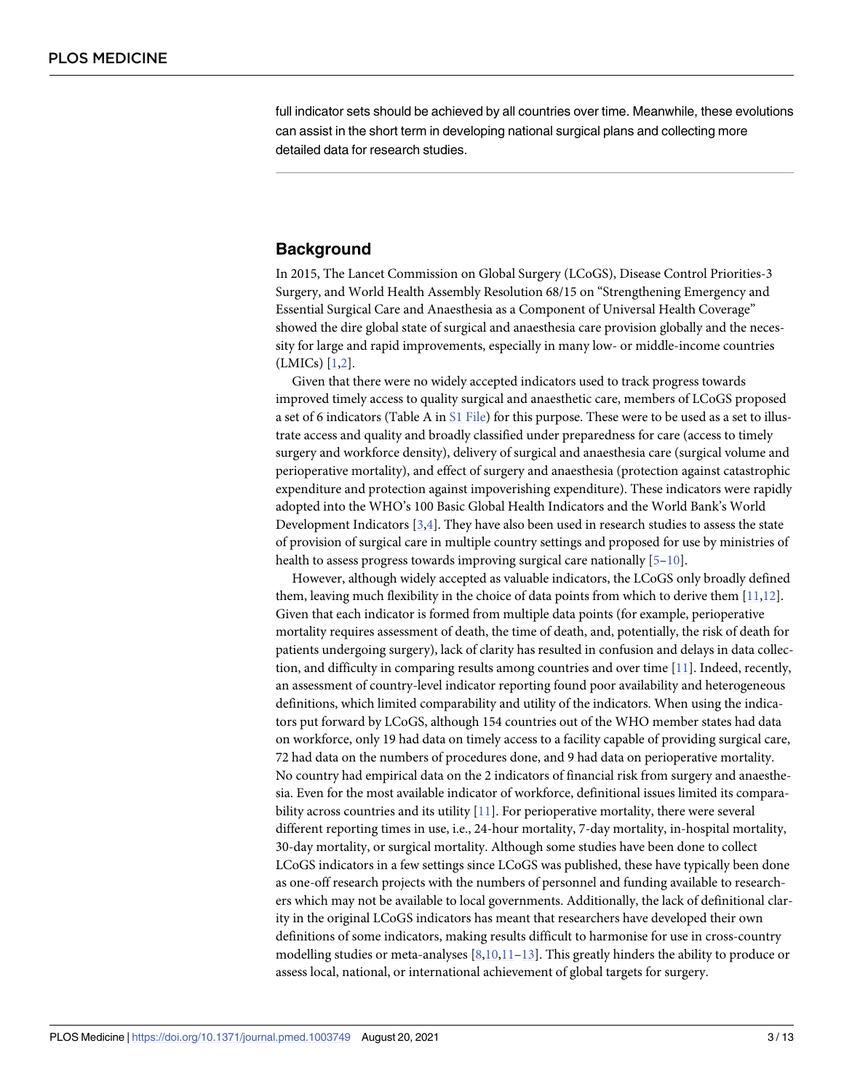<span id="page-2-0"></span>full indicator sets should be achieved by all countries over time. Meanwhile, these evolutions can assist in the short term in developing national surgical plans and collecting more detailed data for research studies.

### **Background**

In 2015, The Lancet Commission on Global Surgery (LCoGS), Disease Control Priorities-3 Surgery, and World Health Assembly Resolution 68/15 on "Strengthening Emergency and Essential Surgical Care and Anaesthesia as a Component of Universal Health Coverage" showed the dire global state of surgical and anaesthesia care provision globally and the necessity for large and rapid improvements, especially in many low- or middle-income countries (LMICs) [\[1,2](#page-11-0)].

Given that there were no widely accepted indicators used to track progress towards improved timely access to quality surgical and anaesthetic care, members of LCoGS proposed a set of 6 indicators (Table A in S1 [File\)](#page-11-0) for this purpose. These were to be used as a set to illustrate access and quality and broadly classified under preparedness for care (access to timely surgery and workforce density), delivery of surgical and anaesthesia care (surgical volume and perioperative mortality), and effect of surgery and anaesthesia (protection against catastrophic expenditure and protection against impoverishing expenditure). These indicators were rapidly adopted into the WHO's 100 Basic Global Health Indicators and the World Bank's World Development Indicators [[3](#page-11-0),[4](#page-11-0)]. They have also been used in research studies to assess the state of provision of surgical care in multiple country settings and proposed for use by ministries of health to assess progress towards improving surgical care nationally [[5–10](#page-11-0)].

However, although widely accepted as valuable indicators, the LCoGS only broadly defined them, leaving much flexibility in the choice of data points from which to derive them [[11](#page-11-0),[12](#page-11-0)]. Given that each indicator is formed from multiple data points (for example, perioperative mortality requires assessment of death, the time of death, and, potentially, the risk of death for patients undergoing surgery), lack of clarity has resulted in confusion and delays in data collection, and difficulty in comparing results among countries and over time [\[11\]](#page-11-0). Indeed, recently, an assessment of country-level indicator reporting found poor availability and heterogeneous definitions, which limited comparability and utility of the indicators. When using the indicators put forward by LCoGS, although 154 countries out of the WHO member states had data on workforce, only 19 had data on timely access to a facility capable of providing surgical care, 72 had data on the numbers of procedures done, and 9 had data on perioperative mortality. No country had empirical data on the 2 indicators of financial risk from surgery and anaesthesia. Even for the most available indicator of workforce, definitional issues limited its compara-bility across countries and its utility [[11](#page-11-0)]. For perioperative mortality, there were several different reporting times in use, i.e., 24-hour mortality, 7-day mortality, in-hospital mortality, 30-day mortality, or surgical mortality. Although some studies have been done to collect LCoGS indicators in a few settings since LCoGS was published, these have typically been done as one-off research projects with the numbers of personnel and funding available to researchers which may not be available to local governments. Additionally, the lack of definitional clarity in the original LCoGS indicators has meant that researchers have developed their own definitions of some indicators, making results difficult to harmonise for use in cross-country modelling studies or meta-analyses  $[8,10,11-13]$ . This greatly hinders the ability to produce or assess local, national, or international achievement of global targets for surgery.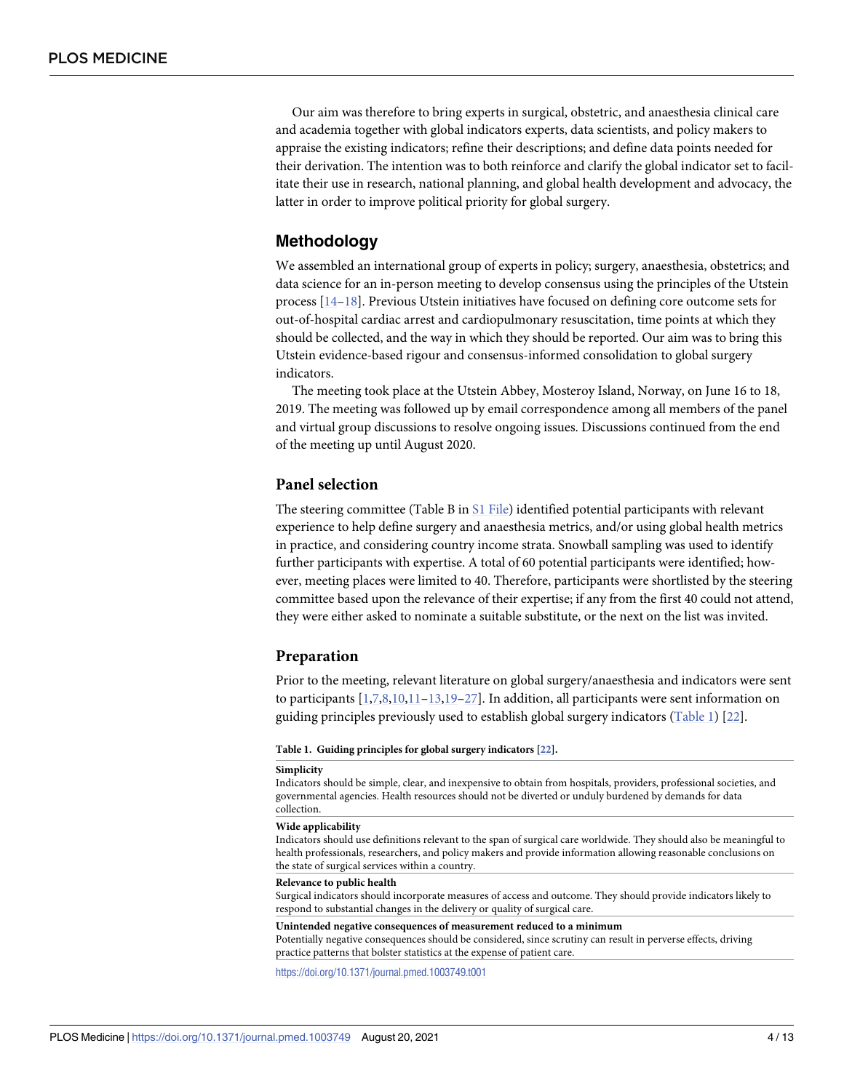<span id="page-3-0"></span>Our aim was therefore to bring experts in surgical, obstetric, and anaesthesia clinical care and academia together with global indicators experts, data scientists, and policy makers to appraise the existing indicators; refine their descriptions; and define data points needed for their derivation. The intention was to both reinforce and clarify the global indicator set to facilitate their use in research, national planning, and global health development and advocacy, the latter in order to improve political priority for global surgery.

### **Methodology**

We assembled an international group of experts in policy; surgery, anaesthesia, obstetrics; and data science for an in-person meeting to develop consensus using the principles of the Utstein process [\[14–](#page-11-0)[18](#page-12-0)]. Previous Utstein initiatives have focused on defining core outcome sets for out-of-hospital cardiac arrest and cardiopulmonary resuscitation, time points at which they should be collected, and the way in which they should be reported. Our aim was to bring this Utstein evidence-based rigour and consensus-informed consolidation to global surgery indicators.

The meeting took place at the Utstein Abbey, Mosteroy Island, Norway, on June 16 to 18, 2019. The meeting was followed up by email correspondence among all members of the panel and virtual group discussions to resolve ongoing issues. Discussions continued from the end of the meeting up until August 2020.

### **Panel selection**

The steering committee (Table B in S1 [File](#page-11-0)) identified potential participants with relevant experience to help define surgery and anaesthesia metrics, and/or using global health metrics in practice, and considering country income strata. Snowball sampling was used to identify further participants with expertise. A total of 60 potential participants were identified; however, meeting places were limited to 40. Therefore, participants were shortlisted by the steering committee based upon the relevance of their expertise; if any from the first 40 could not attend, they were either asked to nominate a suitable substitute, or the next on the list was invited.

### **Preparation**

Prior to the meeting, relevant literature on global surgery/anaesthesia and indicators were sent to participants  $[1,7,8,10,11-13,19-27]$ . In addition, all participants were sent information on guiding principles previously used to establish global surgery indicators (Table 1) [\[22\]](#page-12-0).

#### **Table 1. Guiding principles for global surgery indicators [\[22](#page-12-0)].**

#### **Simplicity**

Indicators should be simple, clear, and inexpensive to obtain from hospitals, providers, professional societies, and governmental agencies. Health resources should not be diverted or unduly burdened by demands for data collection.

#### **Wide applicability**

Indicators should use definitions relevant to the span of surgical care worldwide. They should also be meaningful to health professionals, researchers, and policy makers and provide information allowing reasonable conclusions on the state of surgical services within a country.

#### **Relevance to public health**

Surgical indicators should incorporate measures of access and outcome. They should provide indicators likely to respond to substantial changes in the delivery or quality of surgical care.

#### **Unintended negative consequences of measurement reduced to a minimum**

Potentially negative consequences should be considered, since scrutiny can result in perverse effects, driving practice patterns that bolster statistics at the expense of patient care.

<https://doi.org/10.1371/journal.pmed.1003749.t001>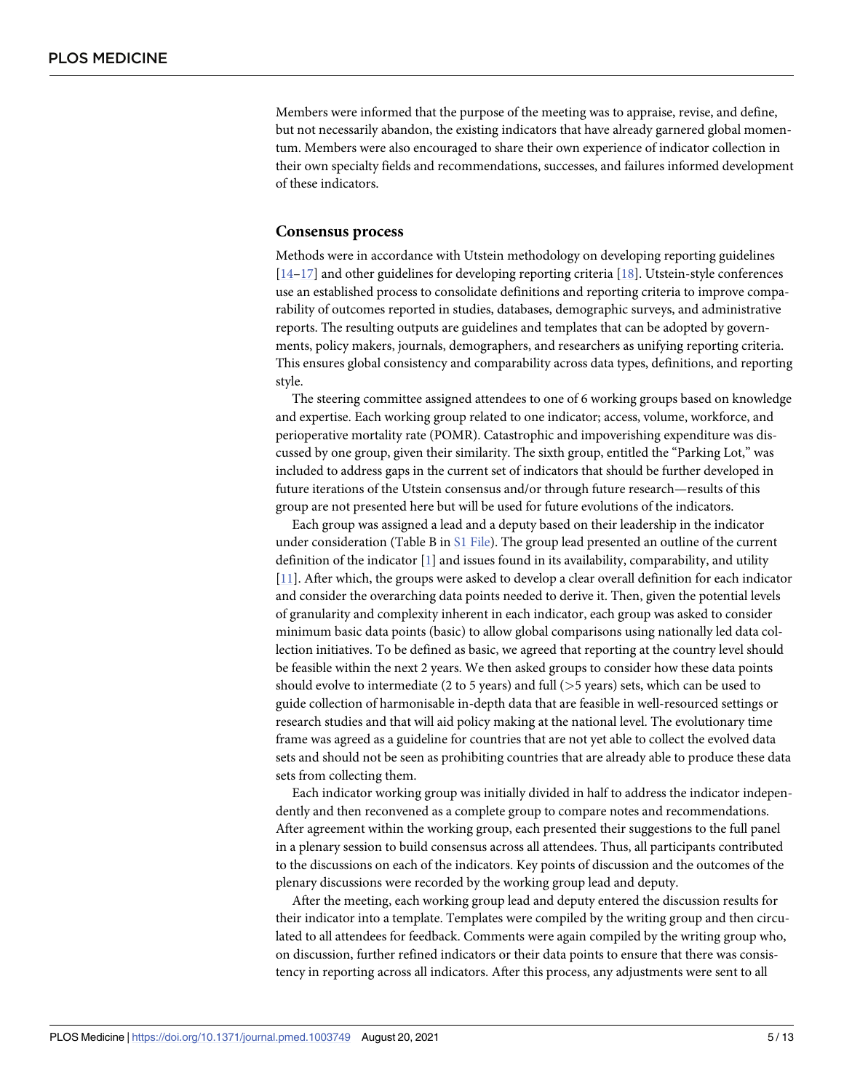<span id="page-4-0"></span>Members were informed that the purpose of the meeting was to appraise, revise, and define, but not necessarily abandon, the existing indicators that have already garnered global momentum. Members were also encouraged to share their own experience of indicator collection in their own specialty fields and recommendations, successes, and failures informed development of these indicators.

### **Consensus process**

Methods were in accordance with Utstein methodology on developing reporting guidelines [\[14](#page-11-0)[–17\]](#page-12-0) and other guidelines for developing reporting criteria [[18](#page-12-0)]. Utstein-style conferences use an established process to consolidate definitions and reporting criteria to improve comparability of outcomes reported in studies, databases, demographic surveys, and administrative reports. The resulting outputs are guidelines and templates that can be adopted by governments, policy makers, journals, demographers, and researchers as unifying reporting criteria. This ensures global consistency and comparability across data types, definitions, and reporting style.

The steering committee assigned attendees to one of 6 working groups based on knowledge and expertise. Each working group related to one indicator; access, volume, workforce, and perioperative mortality rate (POMR). Catastrophic and impoverishing expenditure was discussed by one group, given their similarity. The sixth group, entitled the "Parking Lot," was included to address gaps in the current set of indicators that should be further developed in future iterations of the Utstein consensus and/or through future research—results of this group are not presented here but will be used for future evolutions of the indicators.

Each group was assigned a lead and a deputy based on their leadership in the indicator under consideration (Table B in S1 [File\)](#page-11-0). The group lead presented an outline of the current definition of the indicator [[1](#page-11-0)] and issues found in its availability, comparability, and utility [\[11\]](#page-11-0). After which, the groups were asked to develop a clear overall definition for each indicator and consider the overarching data points needed to derive it. Then, given the potential levels of granularity and complexity inherent in each indicator, each group was asked to consider minimum basic data points (basic) to allow global comparisons using nationally led data collection initiatives. To be defined as basic, we agreed that reporting at the country level should be feasible within the next 2 years. We then asked groups to consider how these data points should evolve to intermediate (2 to 5 years) and full (*>*5 years) sets, which can be used to guide collection of harmonisable in-depth data that are feasible in well-resourced settings or research studies and that will aid policy making at the national level. The evolutionary time frame was agreed as a guideline for countries that are not yet able to collect the evolved data sets and should not be seen as prohibiting countries that are already able to produce these data sets from collecting them.

Each indicator working group was initially divided in half to address the indicator independently and then reconvened as a complete group to compare notes and recommendations. After agreement within the working group, each presented their suggestions to the full panel in a plenary session to build consensus across all attendees. Thus, all participants contributed to the discussions on each of the indicators. Key points of discussion and the outcomes of the plenary discussions were recorded by the working group lead and deputy.

After the meeting, each working group lead and deputy entered the discussion results for their indicator into a template. Templates were compiled by the writing group and then circulated to all attendees for feedback. Comments were again compiled by the writing group who, on discussion, further refined indicators or their data points to ensure that there was consistency in reporting across all indicators. After this process, any adjustments were sent to all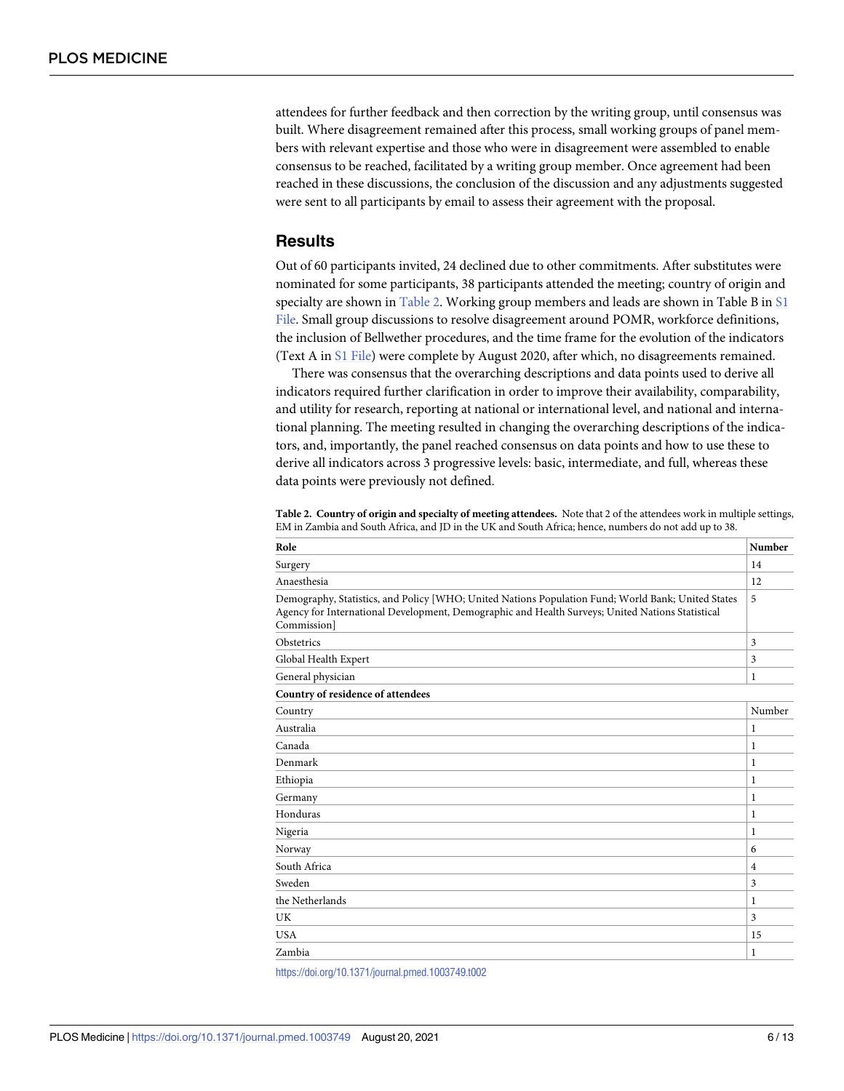attendees for further feedback and then correction by the writing group, until consensus was built. Where disagreement remained after this process, small working groups of panel members with relevant expertise and those who were in disagreement were assembled to enable consensus to be reached, facilitated by a writing group member. Once agreement had been reached in these discussions, the conclusion of the discussion and any adjustments suggested were sent to all participants by email to assess their agreement with the proposal.

### **Results**

Out of 60 participants invited, 24 declined due to other commitments. After substitutes were nominated for some participants, 38 participants attended the meeting; country of origin and specialty are shown in Table 2. Working group members and leads are shown in Table B in [S1](#page-11-0) [File.](#page-11-0) Small group discussions to resolve disagreement around POMR, workforce definitions, the inclusion of Bellwether procedures, and the time frame for the evolution of the indicators (Text A in S1 [File](#page-11-0)) were complete by August 2020, after which, no disagreements remained.

There was consensus that the overarching descriptions and data points used to derive all indicators required further clarification in order to improve their availability, comparability, and utility for research, reporting at national or international level, and national and international planning. The meeting resulted in changing the overarching descriptions of the indicators, and, importantly, the panel reached consensus on data points and how to use these to derive all indicators across 3 progressive levels: basic, intermediate, and full, whereas these data points were previously not defined.

**Table 2. Country of origin and specialty of meeting attendees.** Note that 2 of the attendees work in multiple settings, EM in Zambia and South Africa, and JD in the UK and South Africa; hence, numbers do not add up to 38.

| Role                                                                                                                                                                                                                  | <b>Number</b>  |
|-----------------------------------------------------------------------------------------------------------------------------------------------------------------------------------------------------------------------|----------------|
| Surgery                                                                                                                                                                                                               | 14             |
| Anaesthesia                                                                                                                                                                                                           | 12             |
| Demography, Statistics, and Policy [WHO; United Nations Population Fund; World Bank; United States<br>Agency for International Development, Demographic and Health Surveys; United Nations Statistical<br>Commission] | 5              |
| Obstetrics                                                                                                                                                                                                            | 3              |
| Global Health Expert                                                                                                                                                                                                  | 3              |
| General physician                                                                                                                                                                                                     | 1              |
| Country of residence of attendees                                                                                                                                                                                     |                |
| Country                                                                                                                                                                                                               | Number         |
| Australia                                                                                                                                                                                                             | 1              |
| Canada                                                                                                                                                                                                                | 1              |
| Denmark                                                                                                                                                                                                               | 1              |
| Ethiopia                                                                                                                                                                                                              | 1              |
| Germany                                                                                                                                                                                                               | 1              |
| Honduras                                                                                                                                                                                                              | 1              |
| Nigeria                                                                                                                                                                                                               | 1              |
| Norway                                                                                                                                                                                                                | 6              |
| South Africa                                                                                                                                                                                                          | $\overline{4}$ |
| Sweden                                                                                                                                                                                                                | 3              |
| the Netherlands                                                                                                                                                                                                       | 1              |
| UK                                                                                                                                                                                                                    | 3              |
| <b>USA</b>                                                                                                                                                                                                            | 15             |
| Zambia                                                                                                                                                                                                                | 1              |

<https://doi.org/10.1371/journal.pmed.1003749.t002>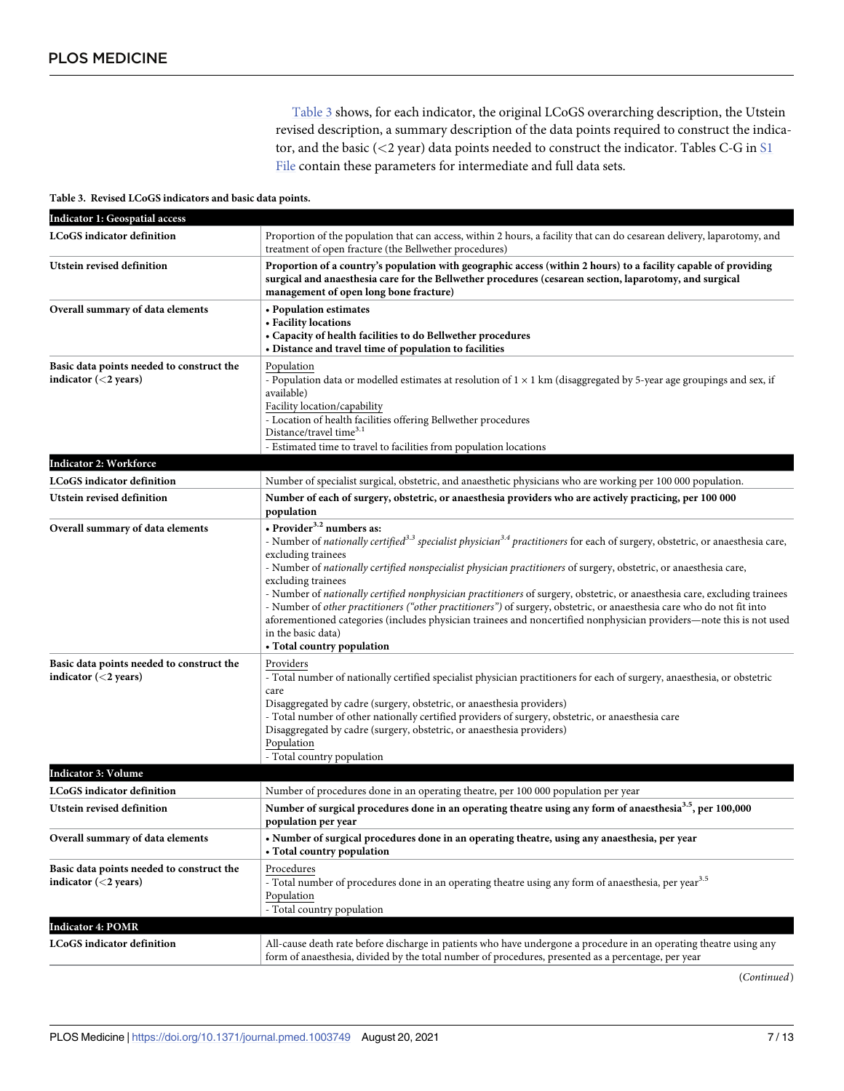Table 3 shows, for each indicator, the original LCoGS overarching description, the Utstein revised description, a summary description of the data points required to construct the indicator, and the basic (*<*2 year) data points needed to construct the indicator. Tables C-G in [S1](#page-11-0) [File](#page-11-0) contain these parameters for intermediate and full data sets.

|  |  | Table 3. Revised LCoGS indicators and basic data points. |  |  |  |
|--|--|----------------------------------------------------------|--|--|--|
|--|--|----------------------------------------------------------|--|--|--|

| <b>Indicator 1: Geospatial access</b>                                |                                                                                                                                                                                                                                                                                                                                                                                                                                                                                                                                                                                                                                                                                                                                                                                                       |  |  |
|----------------------------------------------------------------------|-------------------------------------------------------------------------------------------------------------------------------------------------------------------------------------------------------------------------------------------------------------------------------------------------------------------------------------------------------------------------------------------------------------------------------------------------------------------------------------------------------------------------------------------------------------------------------------------------------------------------------------------------------------------------------------------------------------------------------------------------------------------------------------------------------|--|--|
| LCoGS indicator definition                                           | Proportion of the population that can access, within 2 hours, a facility that can do cesarean delivery, laparotomy, and<br>treatment of open fracture (the Bellwether procedures)                                                                                                                                                                                                                                                                                                                                                                                                                                                                                                                                                                                                                     |  |  |
| Utstein revised definition                                           | Proportion of a country's population with geographic access (within 2 hours) to a facility capable of providing<br>surgical and anaesthesia care for the Bellwether procedures (cesarean section, laparotomy, and surgical<br>management of open long bone fracture)                                                                                                                                                                                                                                                                                                                                                                                                                                                                                                                                  |  |  |
| Overall summary of data elements                                     | • Population estimates<br>• Facility locations<br>• Capacity of health facilities to do Bellwether procedures<br>• Distance and travel time of population to facilities                                                                                                                                                                                                                                                                                                                                                                                                                                                                                                                                                                                                                               |  |  |
| Basic data points needed to construct the<br>indicator $(<$ 2 years) | Population<br>- Population data or modelled estimates at resolution of $1 \times 1$ km (disaggregated by 5-year age groupings and sex, if<br>available)<br>Facility location/capability<br>- Location of health facilities offering Bellwether procedures<br>Distance/travel time <sup>3.1</sup><br>- Estimated time to travel to facilities from population locations                                                                                                                                                                                                                                                                                                                                                                                                                                |  |  |
| Indicator 2: Workforce                                               |                                                                                                                                                                                                                                                                                                                                                                                                                                                                                                                                                                                                                                                                                                                                                                                                       |  |  |
| LCoGS indicator definition                                           | Number of specialist surgical, obstetric, and anaesthetic physicians who are working per 100 000 population.                                                                                                                                                                                                                                                                                                                                                                                                                                                                                                                                                                                                                                                                                          |  |  |
| Utstein revised definition                                           | Number of each of surgery, obstetric, or anaesthesia providers who are actively practicing, per 100 000<br>population                                                                                                                                                                                                                                                                                                                                                                                                                                                                                                                                                                                                                                                                                 |  |  |
| Overall summary of data elements                                     | • Provider <sup>3.2</sup> numbers as:<br>- Number of nationally certified <sup>3.3</sup> specialist physician <sup>3.4</sup> practitioners for each of surgery, obstetric, or anaesthesia care,<br>excluding trainees<br>- Number of nationally certified nonspecialist physician practitioners of surgery, obstetric, or anaesthesia care,<br>excluding trainees<br>- Number of nationally certified nonphysician practitioners of surgery, obstetric, or anaesthesia care, excluding trainees<br>- Number of other practitioners ("other practitioners") of surgery, obstetric, or anaesthesia care who do not fit into<br>aforementioned categories (includes physician trainees and noncertified nonphysician providers—note this is not used<br>in the basic data)<br>• Total country population |  |  |
| Basic data points needed to construct the<br>indicator $(<$ 2 years) | Providers<br>- Total number of nationally certified specialist physician practitioners for each of surgery, anaesthesia, or obstetric<br>care<br>Disaggregated by cadre (surgery, obstetric, or anaesthesia providers)<br>- Total number of other nationally certified providers of surgery, obstetric, or anaesthesia care<br>Disaggregated by cadre (surgery, obstetric, or anaesthesia providers)<br>Population<br>- Total country population                                                                                                                                                                                                                                                                                                                                                      |  |  |
| <b>Indicator 3: Volume</b>                                           |                                                                                                                                                                                                                                                                                                                                                                                                                                                                                                                                                                                                                                                                                                                                                                                                       |  |  |
| LCoGS indicator definition                                           | Number of procedures done in an operating theatre, per 100 000 population per year                                                                                                                                                                                                                                                                                                                                                                                                                                                                                                                                                                                                                                                                                                                    |  |  |
| Utstein revised definition                                           | Number of surgical procedures done in an operating theatre using any form of anaesthesia <sup>3.5</sup> , per 100,000<br>population per year                                                                                                                                                                                                                                                                                                                                                                                                                                                                                                                                                                                                                                                          |  |  |
| Overall summary of data elements                                     | • Number of surgical procedures done in an operating theatre, using any anaesthesia, per year<br>• Total country population                                                                                                                                                                                                                                                                                                                                                                                                                                                                                                                                                                                                                                                                           |  |  |
| Basic data points needed to construct the<br>indicator $(<$ 2 years) | Procedures<br>- Total number of procedures done in an operating theatre using any form of anaesthesia, per year <sup>3.5</sup><br>Population<br>- Total country population                                                                                                                                                                                                                                                                                                                                                                                                                                                                                                                                                                                                                            |  |  |
| <b>Indicator 4: POMR</b>                                             |                                                                                                                                                                                                                                                                                                                                                                                                                                                                                                                                                                                                                                                                                                                                                                                                       |  |  |
| <b>LCoGS</b> indicator definition                                    | All-cause death rate before discharge in patients who have undergone a procedure in an operating theatre using any<br>form of anaesthesia, divided by the total number of procedures, presented as a percentage, per year                                                                                                                                                                                                                                                                                                                                                                                                                                                                                                                                                                             |  |  |

(*Continued*)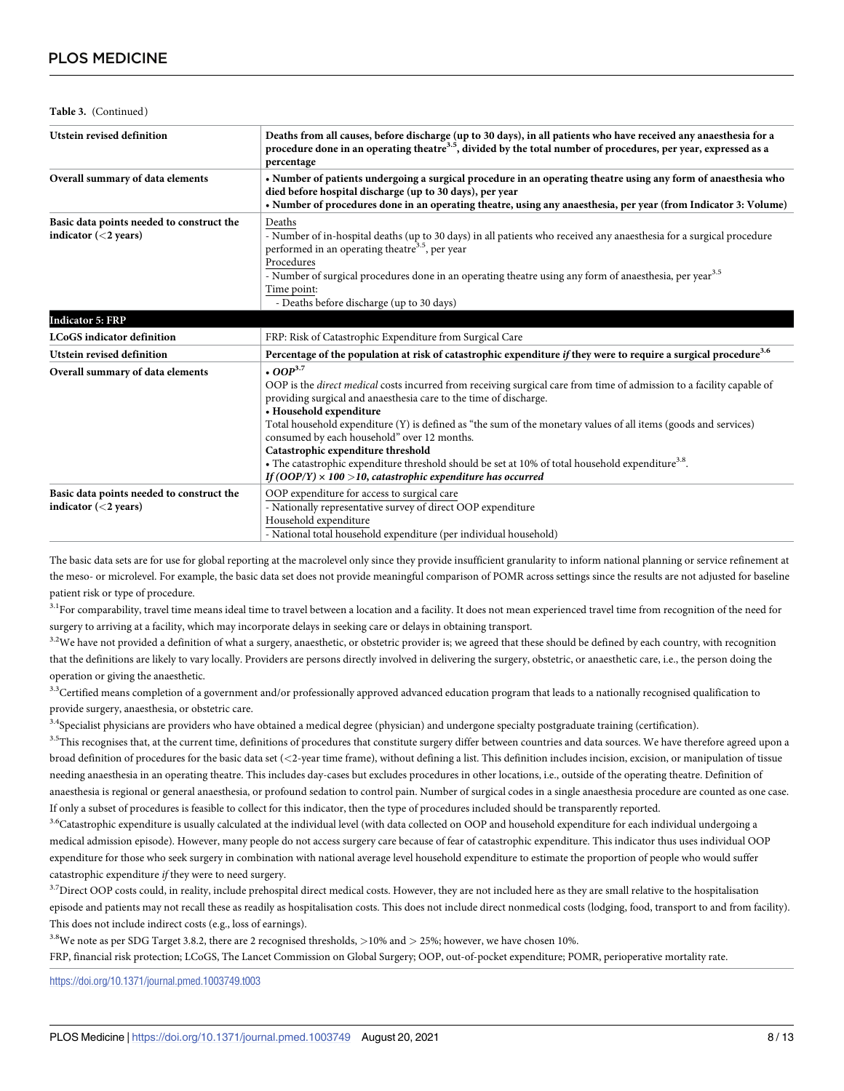**Table 3.** (Continued)

| Utstein revised definition                                           | Deaths from all causes, before discharge (up to 30 days), in all patients who have received any anaesthesia for a<br>procedure done in an operating theatre <sup>3.5</sup> , divided by the total number of procedures, per year, expressed as a<br>percentage                                                                                                                                                                                                                                                                                                                                                                         |  |  |
|----------------------------------------------------------------------|----------------------------------------------------------------------------------------------------------------------------------------------------------------------------------------------------------------------------------------------------------------------------------------------------------------------------------------------------------------------------------------------------------------------------------------------------------------------------------------------------------------------------------------------------------------------------------------------------------------------------------------|--|--|
| Overall summary of data elements                                     | • Number of patients undergoing a surgical procedure in an operating theatre using any form of anaesthesia who<br>died before hospital discharge (up to 30 days), per year<br>. Number of procedures done in an operating theatre, using any anaesthesia, per year (from Indicator 3: Volume)                                                                                                                                                                                                                                                                                                                                          |  |  |
| Basic data points needed to construct the<br>indicator $(<$ 2 years) | Deaths<br>- Number of in-hospital deaths (up to 30 days) in all patients who received any anaesthesia for a surgical procedure<br>performed in an operating theatre <sup>3.5</sup> , per year<br>Procedures<br>- Number of surgical procedures done in an operating theatre using any form of anaesthesia, per year <sup>3.5</sup><br>Time point:<br>- Deaths before discharge (up to 30 days)                                                                                                                                                                                                                                         |  |  |
| <b>Indicator 5: FRP</b>                                              |                                                                                                                                                                                                                                                                                                                                                                                                                                                                                                                                                                                                                                        |  |  |
| <b>LCoGS</b> indicator definition                                    | FRP: Risk of Catastrophic Expenditure from Surgical Care                                                                                                                                                                                                                                                                                                                                                                                                                                                                                                                                                                               |  |  |
| Utstein revised definition                                           | Percentage of the population at risk of catastrophic expenditure if they were to require a surgical procedure <sup>3.6</sup>                                                                                                                                                                                                                                                                                                                                                                                                                                                                                                           |  |  |
| Overall summary of data elements                                     | $.00P^{3.7}$<br>OOP is the direct medical costs incurred from receiving surgical care from time of admission to a facility capable of<br>providing surgical and anaesthesia care to the time of discharge.<br>• Household expenditure<br>Total household expenditure (Y) is defined as "the sum of the monetary values of all items (goods and services)<br>consumed by each household" over 12 months.<br>Catastrophic expenditure threshold<br>• The catastrophic expenditure threshold should be set at 10% of total household expenditure <sup>3.8</sup> .<br>If $(OOP/Y) \times 100 > 10$ , catastrophic expenditure has occurred |  |  |
| Basic data points needed to construct the<br>indicator $(<$ 2 years) | OOP expenditure for access to surgical care<br>- Nationally representative survey of direct OOP expenditure<br>Household expenditure<br>- National total household expenditure (per individual household)                                                                                                                                                                                                                                                                                                                                                                                                                              |  |  |

The basic data sets are for use for global reporting at the macrolevel only since they provide insufficient granularity to inform national planning or service refinement at the meso- or microlevel. For example, the basic data set does not provide meaningful comparison of POMR across settings since the results are not adjusted for baseline patient risk or type of procedure.

<sup>3.1</sup>For comparability, travel time means ideal time to travel between a location and a facility. It does not mean experienced travel time from recognition of the need for surgery to arriving at a facility, which may incorporate delays in seeking care or delays in obtaining transport.

<sup>3.2</sup>We have not provided a definition of what a surgery, anaesthetic, or obstetric provider is; we agreed that these should be defined by each country, with recognition that the definitions are likely to vary locally. Providers are persons directly involved in delivering the surgery, obstetric, or anaesthetic care, i.e., the person doing the operation or giving the anaesthetic.

<sup>3.3</sup>Certified means completion of a government and/or professionally approved advanced education program that leads to a nationally recognised qualification to provide surgery, anaesthesia, or obstetric care.

<sup>3.4</sup>Specialist physicians are providers who have obtained a medical degree (physician) and undergone specialty postgraduate training (certification).

<sup>3.5</sup>This recognises that, at the current time, definitions of procedures that constitute surgery differ between countries and data sources. We have therefore agreed upon a broad definition of procedures for the basic data set (*<*2-year time frame), without defining a list. This definition includes incision, excision, or manipulation of tissue needing anaesthesia in an operating theatre. This includes day-cases but excludes procedures in other locations, i.e., outside of the operating theatre. Definition of anaesthesia is regional or general anaesthesia, or profound sedation to control pain. Number of surgical codes in a single anaesthesia procedure are counted as one case. If only a subset of procedures is feasible to collect for this indicator, then the type of procedures included should be transparently reported.

<sup>3.6</sup>Catastrophic expenditure is usually calculated at the individual level (with data collected on OOP and household expenditure for each individual undergoing a medical admission episode). However, many people do not access surgery care because of fear of catastrophic expenditure. This indicator thus uses individual OOP expenditure for those who seek surgery in combination with national average level household expenditure to estimate the proportion of people who would suffer catastrophic expenditure *if* they were to need surgery.

<sup>3.7</sup>Direct OOP costs could, in reality, include prehospital direct medical costs. However, they are not included here as they are small relative to the hospitalisation episode and patients may not recall these as readily as hospitalisation costs. This does not include direct nonmedical costs (lodging, food, transport to and from facility). This does not include indirect costs (e.g., loss of earnings).

3.8We note as per SDG Target 3.8.2, there are 2 recognised thresholds, *>*10% and *>* 25%; however, we have chosen 10%.

FRP, financial risk protection; LCoGS, The Lancet Commission on Global Surgery; OOP, out-of-pocket expenditure; POMR, perioperative mortality rate.

<https://doi.org/10.1371/journal.pmed.1003749.t003>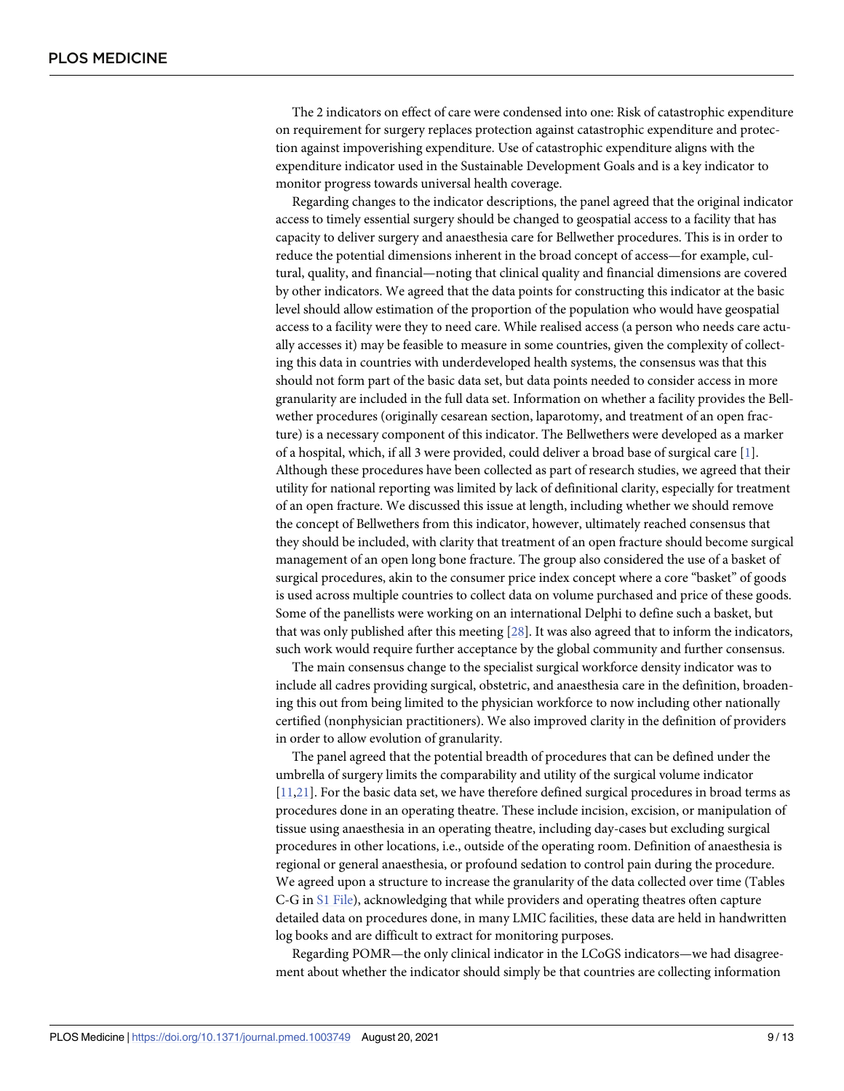<span id="page-8-0"></span>The 2 indicators on effect of care were condensed into one: Risk of catastrophic expenditure on requirement for surgery replaces protection against catastrophic expenditure and protection against impoverishing expenditure. Use of catastrophic expenditure aligns with the expenditure indicator used in the Sustainable Development Goals and is a key indicator to monitor progress towards universal health coverage.

Regarding changes to the indicator descriptions, the panel agreed that the original indicator access to timely essential surgery should be changed to geospatial access to a facility that has capacity to deliver surgery and anaesthesia care for Bellwether procedures. This is in order to reduce the potential dimensions inherent in the broad concept of access—for example, cultural, quality, and financial—noting that clinical quality and financial dimensions are covered by other indicators. We agreed that the data points for constructing this indicator at the basic level should allow estimation of the proportion of the population who would have geospatial access to a facility were they to need care. While realised access (a person who needs care actually accesses it) may be feasible to measure in some countries, given the complexity of collecting this data in countries with underdeveloped health systems, the consensus was that this should not form part of the basic data set, but data points needed to consider access in more granularity are included in the full data set. Information on whether a facility provides the Bellwether procedures (originally cesarean section, laparotomy, and treatment of an open fracture) is a necessary component of this indicator. The Bellwethers were developed as a marker of a hospital, which, if all 3 were provided, could deliver a broad base of surgical care [\[1\]](#page-11-0). Although these procedures have been collected as part of research studies, we agreed that their utility for national reporting was limited by lack of definitional clarity, especially for treatment of an open fracture. We discussed this issue at length, including whether we should remove the concept of Bellwethers from this indicator, however, ultimately reached consensus that they should be included, with clarity that treatment of an open fracture should become surgical management of an open long bone fracture. The group also considered the use of a basket of surgical procedures, akin to the consumer price index concept where a core "basket" of goods is used across multiple countries to collect data on volume purchased and price of these goods. Some of the panellists were working on an international Delphi to define such a basket, but that was only published after this meeting [[28](#page-12-0)]. It was also agreed that to inform the indicators, such work would require further acceptance by the global community and further consensus.

The main consensus change to the specialist surgical workforce density indicator was to include all cadres providing surgical, obstetric, and anaesthesia care in the definition, broadening this out from being limited to the physician workforce to now including other nationally certified (nonphysician practitioners). We also improved clarity in the definition of providers in order to allow evolution of granularity.

The panel agreed that the potential breadth of procedures that can be defined under the umbrella of surgery limits the comparability and utility of the surgical volume indicator [\[11](#page-11-0)[,21\]](#page-12-0). For the basic data set, we have therefore defined surgical procedures in broad terms as procedures done in an operating theatre. These include incision, excision, or manipulation of tissue using anaesthesia in an operating theatre, including day-cases but excluding surgical procedures in other locations, i.e., outside of the operating room. Definition of anaesthesia is regional or general anaesthesia, or profound sedation to control pain during the procedure. We agreed upon a structure to increase the granularity of the data collected over time (Tables C-G in S1 [File](#page-11-0)), acknowledging that while providers and operating theatres often capture detailed data on procedures done, in many LMIC facilities, these data are held in handwritten log books and are difficult to extract for monitoring purposes.

Regarding POMR—the only clinical indicator in the LCoGS indicators—we had disagreement about whether the indicator should simply be that countries are collecting information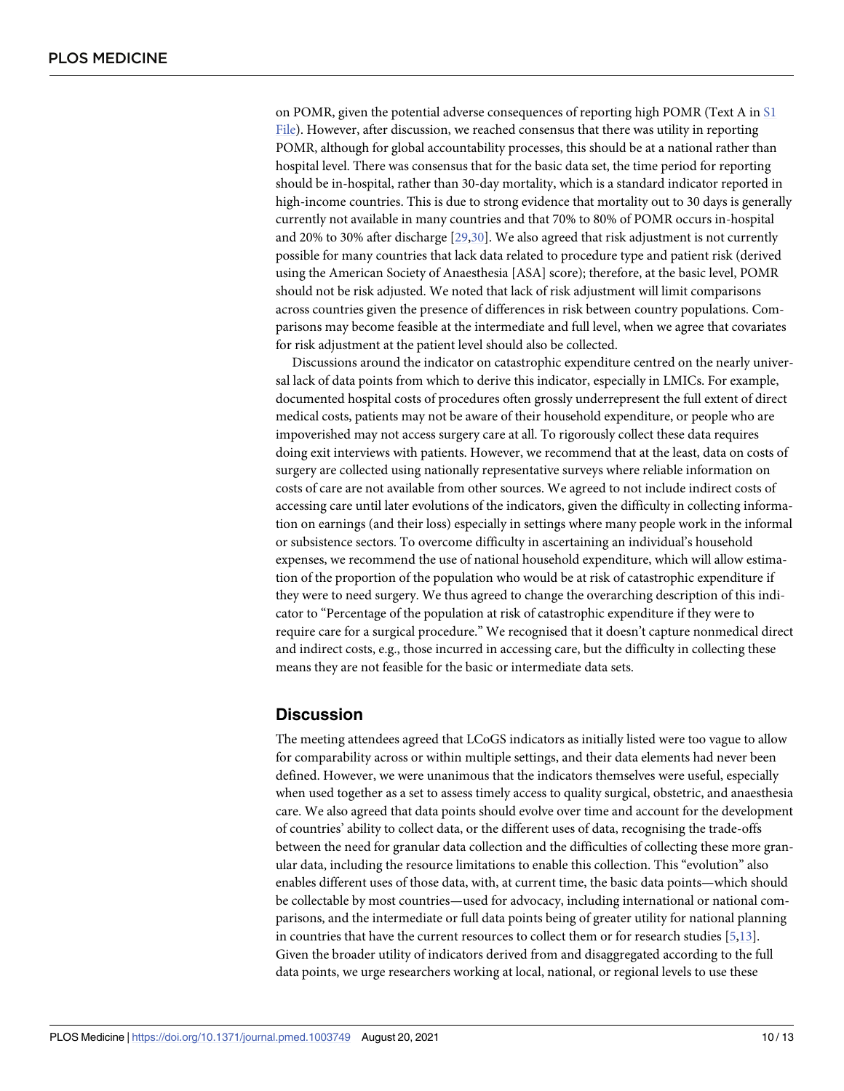<span id="page-9-0"></span>on POMR, given the potential adverse consequences of reporting high POMR (Text A in [S1](#page-11-0) [File\)](#page-11-0). However, after discussion, we reached consensus that there was utility in reporting POMR, although for global accountability processes, this should be at a national rather than hospital level. There was consensus that for the basic data set, the time period for reporting should be in-hospital, rather than 30-day mortality, which is a standard indicator reported in high-income countries. This is due to strong evidence that mortality out to 30 days is generally currently not available in many countries and that 70% to 80% of POMR occurs in-hospital and 20% to 30% after discharge [\[29,30](#page-12-0)]. We also agreed that risk adjustment is not currently possible for many countries that lack data related to procedure type and patient risk (derived using the American Society of Anaesthesia [ASA] score); therefore, at the basic level, POMR should not be risk adjusted. We noted that lack of risk adjustment will limit comparisons across countries given the presence of differences in risk between country populations. Comparisons may become feasible at the intermediate and full level, when we agree that covariates for risk adjustment at the patient level should also be collected.

Discussions around the indicator on catastrophic expenditure centred on the nearly universal lack of data points from which to derive this indicator, especially in LMICs. For example, documented hospital costs of procedures often grossly underrepresent the full extent of direct medical costs, patients may not be aware of their household expenditure, or people who are impoverished may not access surgery care at all. To rigorously collect these data requires doing exit interviews with patients. However, we recommend that at the least, data on costs of surgery are collected using nationally representative surveys where reliable information on costs of care are not available from other sources. We agreed to not include indirect costs of accessing care until later evolutions of the indicators, given the difficulty in collecting information on earnings (and their loss) especially in settings where many people work in the informal or subsistence sectors. To overcome difficulty in ascertaining an individual's household expenses, we recommend the use of national household expenditure, which will allow estimation of the proportion of the population who would be at risk of catastrophic expenditure if they were to need surgery. We thus agreed to change the overarching description of this indicator to "Percentage of the population at risk of catastrophic expenditure if they were to require care for a surgical procedure." We recognised that it doesn't capture nonmedical direct and indirect costs, e.g., those incurred in accessing care, but the difficulty in collecting these means they are not feasible for the basic or intermediate data sets.

### **Discussion**

The meeting attendees agreed that LCoGS indicators as initially listed were too vague to allow for comparability across or within multiple settings, and their data elements had never been defined. However, we were unanimous that the indicators themselves were useful, especially when used together as a set to assess timely access to quality surgical, obstetric, and anaesthesia care. We also agreed that data points should evolve over time and account for the development of countries' ability to collect data, or the different uses of data, recognising the trade-offs between the need for granular data collection and the difficulties of collecting these more granular data, including the resource limitations to enable this collection. This "evolution" also enables different uses of those data, with, at current time, the basic data points—which should be collectable by most countries—used for advocacy, including international or national comparisons, and the intermediate or full data points being of greater utility for national planning in countries that have the current resources to collect them or for research studies [\[5,13\]](#page-11-0). Given the broader utility of indicators derived from and disaggregated according to the full data points, we urge researchers working at local, national, or regional levels to use these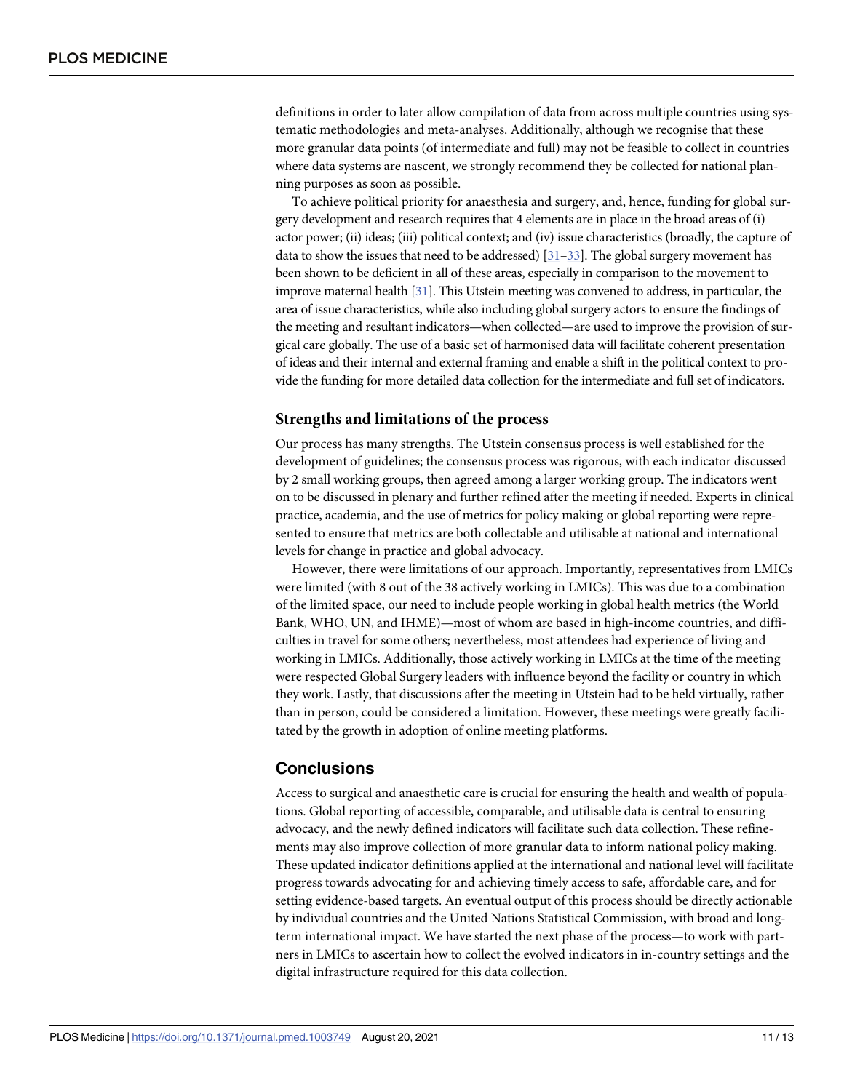<span id="page-10-0"></span>definitions in order to later allow compilation of data from across multiple countries using systematic methodologies and meta-analyses. Additionally, although we recognise that these more granular data points (of intermediate and full) may not be feasible to collect in countries where data systems are nascent, we strongly recommend they be collected for national planning purposes as soon as possible.

To achieve political priority for anaesthesia and surgery, and, hence, funding for global surgery development and research requires that 4 elements are in place in the broad areas of (i) actor power; (ii) ideas; (iii) political context; and (iv) issue characteristics (broadly, the capture of data to show the issues that need to be addressed)  $[31-33]$ . The global surgery movement has been shown to be deficient in all of these areas, especially in comparison to the movement to improve maternal health [\[31\]](#page-12-0). This Utstein meeting was convened to address, in particular, the area of issue characteristics, while also including global surgery actors to ensure the findings of the meeting and resultant indicators—when collected—are used to improve the provision of surgical care globally. The use of a basic set of harmonised data will facilitate coherent presentation of ideas and their internal and external framing and enable a shift in the political context to provide the funding for more detailed data collection for the intermediate and full set of indicators.

### **Strengths and limitations of the process**

Our process has many strengths. The Utstein consensus process is well established for the development of guidelines; the consensus process was rigorous, with each indicator discussed by 2 small working groups, then agreed among a larger working group. The indicators went on to be discussed in plenary and further refined after the meeting if needed. Experts in clinical practice, academia, and the use of metrics for policy making or global reporting were represented to ensure that metrics are both collectable and utilisable at national and international levels for change in practice and global advocacy.

However, there were limitations of our approach. Importantly, representatives from LMICs were limited (with 8 out of the 38 actively working in LMICs). This was due to a combination of the limited space, our need to include people working in global health metrics (the World Bank, WHO, UN, and IHME)—most of whom are based in high-income countries, and difficulties in travel for some others; nevertheless, most attendees had experience of living and working in LMICs. Additionally, those actively working in LMICs at the time of the meeting were respected Global Surgery leaders with influence beyond the facility or country in which they work. Lastly, that discussions after the meeting in Utstein had to be held virtually, rather than in person, could be considered a limitation. However, these meetings were greatly facilitated by the growth in adoption of online meeting platforms.

### **Conclusions**

Access to surgical and anaesthetic care is crucial for ensuring the health and wealth of populations. Global reporting of accessible, comparable, and utilisable data is central to ensuring advocacy, and the newly defined indicators will facilitate such data collection. These refinements may also improve collection of more granular data to inform national policy making. These updated indicator definitions applied at the international and national level will facilitate progress towards advocating for and achieving timely access to safe, affordable care, and for setting evidence-based targets. An eventual output of this process should be directly actionable by individual countries and the United Nations Statistical Commission, with broad and longterm international impact. We have started the next phase of the process—to work with partners in LMICs to ascertain how to collect the evolved indicators in in-country settings and the digital infrastructure required for this data collection.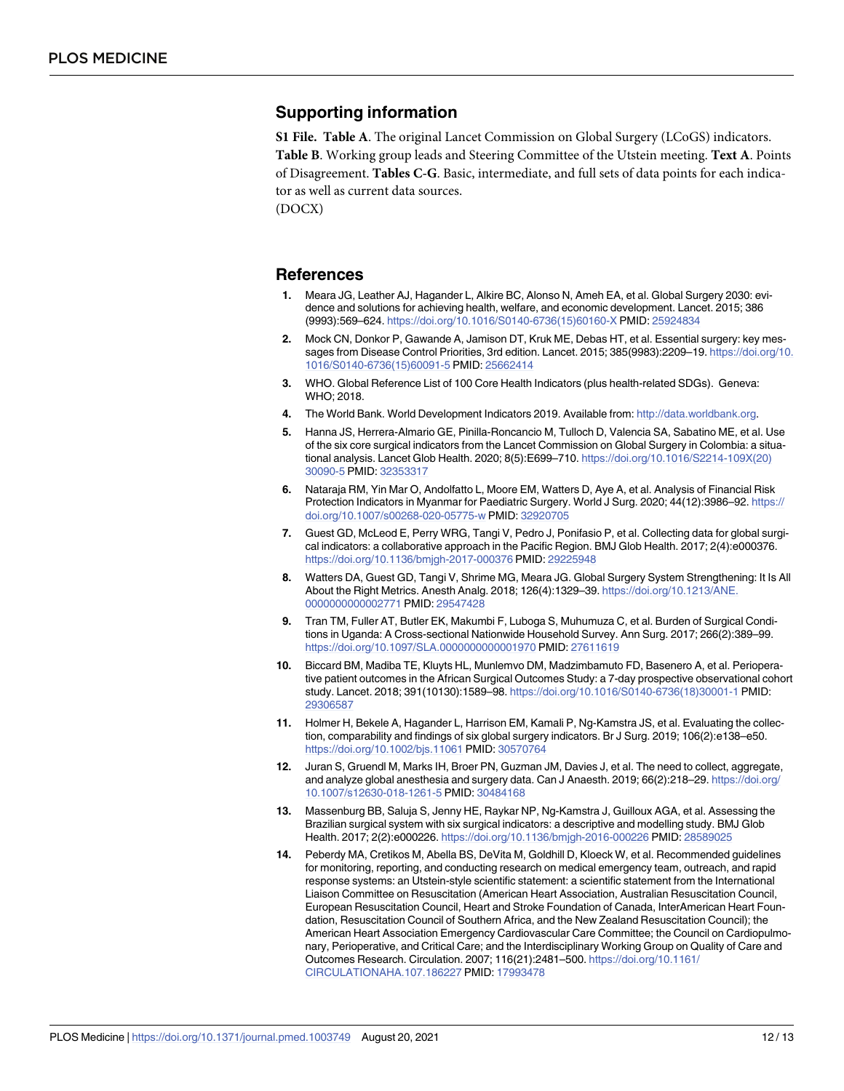### <span id="page-11-0"></span>**Supporting information**

**S1 [File.](http://journals.plos.org/plosmedicine/article/asset?unique&id=info:doi/10.1371/journal.pmed.1003749.s001) Table A**. The original Lancet Commission on Global Surgery (LCoGS) indicators. **Table B**. Working group leads and Steering Committee of the Utstein meeting. **Text A**. Points of Disagreement. **Tables C-G**. Basic, intermediate, and full sets of data points for each indicator as well as current data sources.

(DOCX)

### **References**

- **[1](#page-2-0).** Meara JG, Leather AJ, Hagander L, Alkire BC, Alonso N, Ameh EA, et al. Global Surgery 2030: evidence and solutions for achieving health, welfare, and economic development. Lancet. 2015; 386 (9993):569–624. [https://doi.org/10.1016/S0140-6736\(15\)60160-X](https://doi.org/10.1016/S0140-6736%2815%2960160-X) PMID: [25924834](http://www.ncbi.nlm.nih.gov/pubmed/25924834)
- **[2](#page-2-0).** Mock CN, Donkor P, Gawande A, Jamison DT, Kruk ME, Debas HT, et al. Essential surgery: key messages from Disease Control Priorities, 3rd edition. Lancet. 2015; 385(9983):2209–19. [https://doi.org/10.](https://doi.org/10.1016/S0140-6736%2815%2960091-5) [1016/S0140-6736\(15\)60091-5](https://doi.org/10.1016/S0140-6736%2815%2960091-5) PMID: [25662414](http://www.ncbi.nlm.nih.gov/pubmed/25662414)
- **[3](#page-2-0).** WHO. Global Reference List of 100 Core Health Indicators (plus health-related SDGs). Geneva: WHO; 2018.
- **[4](#page-2-0).** The World Bank. World Development Indicators 2019. Available from: [http://data.worldbank.org.](http://data.worldbank.org)
- **[5](#page-2-0).** Hanna JS, Herrera-Almario GE, Pinilla-Roncancio M, Tulloch D, Valencia SA, Sabatino ME, et al. Use of the six core surgical indicators from the Lancet Commission on Global Surgery in Colombia: a situational analysis. Lancet Glob Health. 2020; 8(5):E699–710. [https://doi.org/10.1016/S2214-109X\(20\)](https://doi.org/10.1016/S2214-109X%2820%2930090-5) [30090-5](https://doi.org/10.1016/S2214-109X%2820%2930090-5) PMID: [32353317](http://www.ncbi.nlm.nih.gov/pubmed/32353317)
- **6.** Nataraja RM, Yin Mar O, Andolfatto L, Moore EM, Watters D, Aye A, et al. Analysis of Financial Risk Protection Indicators in Myanmar for Paediatric Surgery. World J Surg. 2020; 44(12):3986-92. [https://](https://doi.org/10.1007/s00268-020-05775-w) [doi.org/10.1007/s00268-020-05775-w](https://doi.org/10.1007/s00268-020-05775-w) PMID: [32920705](http://www.ncbi.nlm.nih.gov/pubmed/32920705)
- **[7](#page-3-0).** Guest GD, McLeod E, Perry WRG, Tangi V, Pedro J, Ponifasio P, et al. Collecting data for global surgical indicators: a collaborative approach in the Pacific Region. BMJ Glob Health. 2017; 2(4):e000376. <https://doi.org/10.1136/bmjgh-2017-000376> PMID: [29225948](http://www.ncbi.nlm.nih.gov/pubmed/29225948)
- **[8](#page-2-0).** Watters DA, Guest GD, Tangi V, Shrime MG, Meara JG. Global Surgery System Strengthening: It Is All About the Right Metrics. Anesth Analg. 2018; 126(4):1329–39. [https://doi.org/10.1213/ANE.](https://doi.org/10.1213/ANE.0000000000002771) [0000000000002771](https://doi.org/10.1213/ANE.0000000000002771) PMID: [29547428](http://www.ncbi.nlm.nih.gov/pubmed/29547428)
- **9.** Tran TM, Fuller AT, Butler EK, Makumbi F, Luboga S, Muhumuza C, et al. Burden of Surgical Conditions in Uganda: A Cross-sectional Nationwide Household Survey. Ann Surg. 2017; 266(2):389–99. <https://doi.org/10.1097/SLA.0000000000001970> PMID: [27611619](http://www.ncbi.nlm.nih.gov/pubmed/27611619)
- **[10](#page-2-0).** Biccard BM, Madiba TE, Kluyts HL, Munlemvo DM, Madzimbamuto FD, Basenero A, et al. Perioperative patient outcomes in the African Surgical Outcomes Study: a 7-day prospective observational cohort study. Lancet. 2018; 391(10130):1589–98. [https://doi.org/10.1016/S0140-6736\(18\)30001-1](https://doi.org/10.1016/S0140-6736%2818%2930001-1) PMID: [29306587](http://www.ncbi.nlm.nih.gov/pubmed/29306587)
- **[11](#page-2-0).** Holmer H, Bekele A, Hagander L, Harrison EM, Kamali P, Ng-Kamstra JS, et al. Evaluating the collection, comparability and findings of six global surgery indicators. Br J Surg. 2019; 106(2):e138–e50. <https://doi.org/10.1002/bjs.11061> PMID: [30570764](http://www.ncbi.nlm.nih.gov/pubmed/30570764)
- **[12](#page-2-0).** Juran S, Gruendl M, Marks IH, Broer PN, Guzman JM, Davies J, et al. The need to collect, aggregate, and analyze global anesthesia and surgery data. Can J Anaesth. 2019; 66(2):218–29. [https://doi.org/](https://doi.org/10.1007/s12630-018-1261-5) [10.1007/s12630-018-1261-5](https://doi.org/10.1007/s12630-018-1261-5) PMID: [30484168](http://www.ncbi.nlm.nih.gov/pubmed/30484168)
- **[13](#page-2-0).** Massenburg BB, Saluja S, Jenny HE, Raykar NP, Ng-Kamstra J, Guilloux AGA, et al. Assessing the Brazilian surgical system with six surgical indicators: a descriptive and modelling study. BMJ Glob Health. 2017; 2(2):e000226. <https://doi.org/10.1136/bmjgh-2016-000226> PMID: [28589025](http://www.ncbi.nlm.nih.gov/pubmed/28589025)
- **[14](#page-3-0).** Peberdy MA, Cretikos M, Abella BS, DeVita M, Goldhill D, Kloeck W, et al. Recommended guidelines for monitoring, reporting, and conducting research on medical emergency team, outreach, and rapid response systems: an Utstein-style scientific statement: a scientific statement from the International Liaison Committee on Resuscitation (American Heart Association, Australian Resuscitation Council, European Resuscitation Council, Heart and Stroke Foundation of Canada, InterAmerican Heart Foundation, Resuscitation Council of Southern Africa, and the New Zealand Resuscitation Council); the American Heart Association Emergency Cardiovascular Care Committee; the Council on Cardiopulmonary, Perioperative, and Critical Care; and the Interdisciplinary Working Group on Quality of Care and Outcomes Research. Circulation. 2007; 116(21):2481–500. [https://doi.org/10.1161/](https://doi.org/10.1161/CIRCULATIONAHA.107.186227) [CIRCULATIONAHA.107.186227](https://doi.org/10.1161/CIRCULATIONAHA.107.186227) PMID: [17993478](http://www.ncbi.nlm.nih.gov/pubmed/17993478)